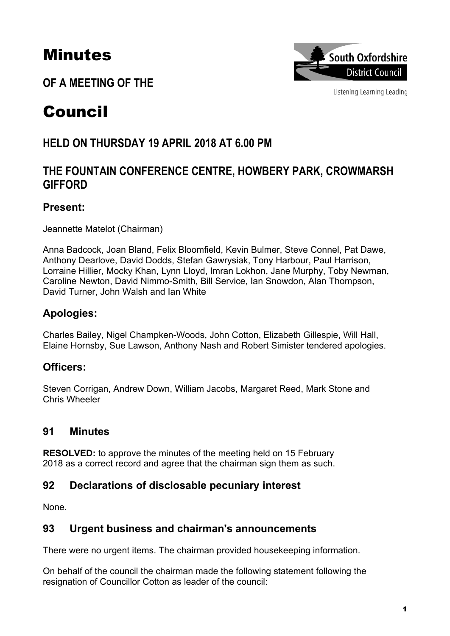# Minutes

**OF A MEETING OF THE**



Listening Learning Leading

# Council

# **HELD ON THURSDAY 19 APRIL 2018 AT 6.00 PM**

# **THE FOUNTAIN CONFERENCE CENTRE, HOWBERY PARK, CROWMARSH GIFFORD**

# **Present:**

Jeannette Matelot (Chairman)

Anna Badcock, Joan Bland, Felix Bloomfield, Kevin Bulmer, Steve Connel, Pat Dawe, Anthony Dearlove, David Dodds, Stefan Gawrysiak, Tony Harbour, Paul Harrison, Lorraine Hillier, Mocky Khan, Lynn Lloyd, Imran Lokhon, Jane Murphy, Toby Newman, Caroline Newton, David Nimmo-Smith, Bill Service, Ian Snowdon, Alan Thompson, David Turner, John Walsh and Ian White

# **Apologies:**

Charles Bailey, Nigel Champken-Woods, John Cotton, Elizabeth Gillespie, Will Hall, Elaine Hornsby, Sue Lawson, Anthony Nash and Robert Simister tendered apologies.

# **Officers:**

Steven Corrigan, Andrew Down, William Jacobs, Margaret Reed, Mark Stone and Chris Wheeler

# **91 Minutes**

**RESOLVED:** to approve the minutes of the meeting held on 15 February 2018 as a correct record and agree that the chairman sign them as such.

# **92 Declarations of disclosable pecuniary interest**

None.

# **93 Urgent business and chairman's announcements**

There were no urgent items. The chairman provided housekeeping information.

On behalf of the council the chairman made the following statement following the resignation of Councillor Cotton as leader of the council: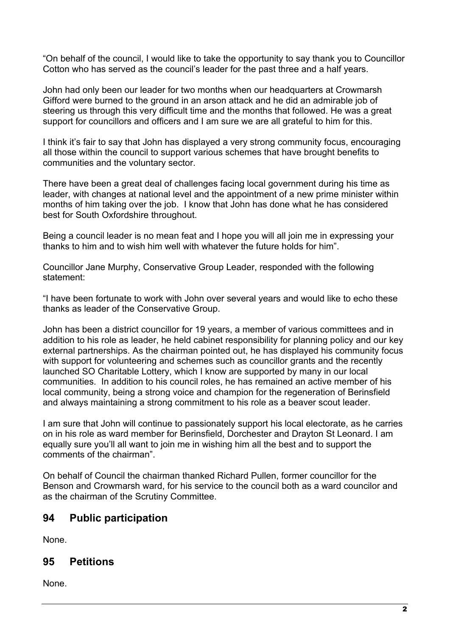"On behalf of the council, I would like to take the opportunity to say thank you to Councillor Cotton who has served as the council's leader for the past three and a half years.

John had only been our leader for two months when our headquarters at Crowmarsh Gifford were burned to the ground in an arson attack and he did an admirable job of steering us through this very difficult time and the months that followed. He was a great support for councillors and officers and I am sure we are all grateful to him for this.

I think it's fair to say that John has displayed a very strong community focus, encouraging all those within the council to support various schemes that have brought benefits to communities and the voluntary sector.

There have been a great deal of challenges facing local government during his time as leader, with changes at national level and the appointment of a new prime minister within months of him taking over the job. I know that John has done what he has considered best for South Oxfordshire throughout.

Being a council leader is no mean feat and I hope you will all join me in expressing your thanks to him and to wish him well with whatever the future holds for him".

Councillor Jane Murphy, Conservative Group Leader, responded with the following statement:

"I have been fortunate to work with John over several years and would like to echo these thanks as leader of the Conservative Group.

John has been a district councillor for 19 years, a member of various committees and in addition to his role as leader, he held cabinet responsibility for planning policy and our key external partnerships. As the chairman pointed out, he has displayed his community focus with support for volunteering and schemes such as councillor grants and the recently launched SO Charitable Lottery, which I know are supported by many in our local communities. In addition to his council roles, he has remained an active member of his local community, being a strong voice and champion for the regeneration of Berinsfield and always maintaining a strong commitment to his role as a beaver scout leader.

I am sure that John will continue to passionately support his local electorate, as he carries on in his role as ward member for Berinsfield, Dorchester and Drayton St Leonard. I am equally sure you'll all want to join me in wishing him all the best and to support the comments of the chairman".

On behalf of Council the chairman thanked Richard Pullen, former councillor for the Benson and Crowmarsh ward, for his service to the council both as a ward councilor and as the chairman of the Scrutiny Committee.

#### **94 Public participation**

None.

# **95 Petitions**

None.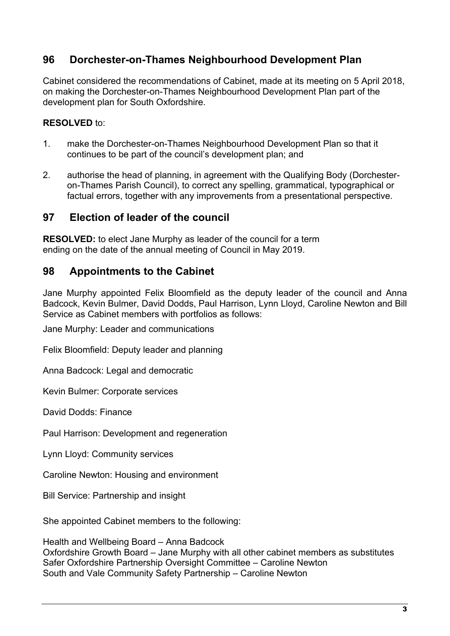# **96 Dorchester-on-Thames Neighbourhood Development Plan**

Cabinet considered the recommendations of Cabinet, made at its meeting on 5 April 2018, on making the Dorchester-on-Thames Neighbourhood Development Plan part of the development plan for South Oxfordshire.

#### **RESOLVED** to:

- 1. make the Dorchester-on-Thames Neighbourhood Development Plan so that it continues to be part of the council's development plan; and
- 2. authorise the head of planning, in agreement with the Qualifying Body (Dorchesteron-Thames Parish Council), to correct any spelling, grammatical, typographical or factual errors, together with any improvements from a presentational perspective.

#### **97 Election of leader of the council**

**RESOLVED:** to elect Jane Murphy as leader of the council for a term ending on the date of the annual meeting of Council in May 2019.

#### **98 Appointments to the Cabinet**

Jane Murphy appointed Felix Bloomfield as the deputy leader of the council and Anna Badcock, Kevin Bulmer, David Dodds, Paul Harrison, Lynn Lloyd, Caroline Newton and Bill Service as Cabinet members with portfolios as follows:

Jane Murphy: Leader and communications

Felix Bloomfield: Deputy leader and planning

Anna Badcock: Legal and democratic

Kevin Bulmer: Corporate services

David Dodds: Finance

Paul Harrison: Development and regeneration

Lynn Lloyd: Community services

Caroline Newton: Housing and environment

Bill Service: Partnership and insight

She appointed Cabinet members to the following:

Health and Wellbeing Board – Anna Badcock Oxfordshire Growth Board – Jane Murphy with all other cabinet members as substitutes Safer Oxfordshire Partnership Oversight Committee – Caroline Newton South and Vale Community Safety Partnership – Caroline Newton